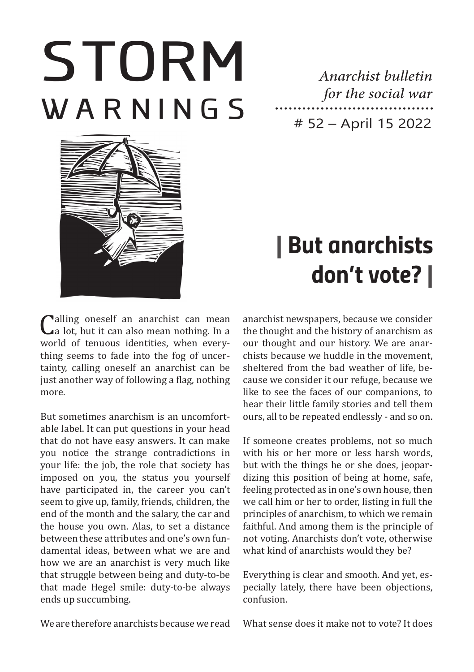# WARNINGS STORM Anarchist bulletin



### # 52 – April 15 2022 for the social war

### **| But anarchists don't vote? |**

Calling oneself an anarchist can mean a lot, but it can also mean nothing. In a world of tenuous identities, when everything seems to fade into the fog of uncertainty, calling oneself an anarchist can be just another way of following a flag, nothing more.

But sometimes anarchism is an uncomfortable label. It can put questions in your head that do not have easy answers. It can make you notice the strange contradictions in your life: the job, the role that society has imposed on you, the status you yourself have participated in, the career you can't seem to give up, family, friends, children, the end of the month and the salary, the car and the house you own. Alas, to set a distance between these attributes and one's own fundamental ideas, between what we are and how we are an anarchist is very much like that struggle between being and duty-to-be that made Hegel smile: duty-to-be always ends up succumbing.

anarchist newspapers, because we consider the thought and the history of anarchism as our thought and our history. We are anarchists because we huddle in the movement, sheltered from the bad weather of life, because we consider it our refuge, because we like to see the faces of our companions, to hear their little family stories and tell them ours, all to be repeated endlessly - and so on.

If someone creates problems, not so much with his or her more or less harsh words. but with the things he or she does, jeopardizing this position of being at home, safe, feeling protected as in one's own house, then we call him or her to order, listing in full the principles of anarchism, to which we remain faithful. And among them is the principle of not voting. Anarchists don't vote, otherwise what kind of anarchists would they be?

Everything is clear and smooth. And yet, especially lately, there have been objections, confusion.

We are therefore anarchists because we read

What sense does it make not to vote? It does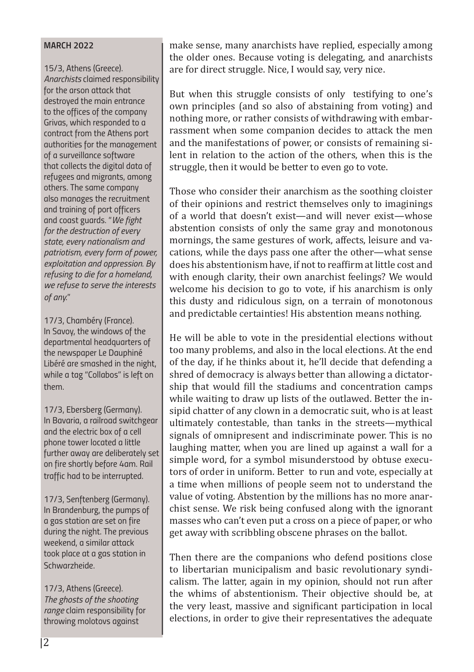#### **MARCH 2022**

15/3, Athens (Greece). *Anarchists* claimed responsibility for the arson attack that destroyed the main entrance to the offices of the company Grivas, which responded to a contract from the Athens port authorities for the management of a surveillance software that collects the digital data of refugees and migrants, among others. The same company also manages the recruitment and training of port officers and coast guards. "*We fight for the destruction of every state, every nationalism and patriotism, every form of power, exploitation and oppression. By refusing to die for a homeland, we refuse to serve the interests of any.*"

17/3, Chambéry (France). In Savoy, the windows of the departmental headquarters of the newspaper Le Dauphiné Libéré are smashed in the night, while a tag "Collabos" is left on them.

17/3, Ebersberg (Germany). In Bavaria, a railroad switchgear and the electric box of a cell phone tower located a little further away are deliberately set on fire shortly before 4am. Rail traffic had to be interrupted.

17/3, Senftenberg (Germany). In Brandenburg, the pumps of a gas station are set on fire during the night. The previous weekend, a similar attack took place at a gas station in Schwarzheide.

17/3, Athens (Greece). *The ghosts of the shooting range* claim responsibility for throwing molotovs against

make sense, many anarchists have replied, especially among the older ones. Because voting is delegating, and anarchists are for direct struggle. Nice, I would say, very nice.

But when this struggle consists of only testifying to one's own principles (and so also of abstaining from voting) and nothing more, or rather consists of withdrawing with embarrassment when some companion decides to attack the men and the manifestations of power, or consists of remaining silent in relation to the action of the others, when this is the struggle, then it would be better to even go to vote.

Those who consider their anarchism as the soothing cloister of their opinions and restrict themselves only to imaginings of a world that doesn't exist—and will never exist—whose abstention consists of only the same gray and monotonous mornings, the same gestures of work, affects, leisure and vacations, while the days pass one after the other—what sense does his abstentionism have, if not to reaffirm at little cost and with enough clarity, their own anarchist feelings? We would welcome his decision to go to vote, if his anarchism is only this dusty and ridiculous sign, on a terrain of monotonous and predictable certainties! His abstention means nothing.

He will be able to vote in the presidential elections without too many problems, and also in the local elections. At the end of the day, if he thinks about it, he'll decide that defending a shred of democracy is always better than allowing a dictatorship that would fill the stadiums and concentration camps while waiting to draw up lists of the outlawed. Better the insipid chatter of any clown in a democratic suit, who is at least ultimately contestable, than tanks in the streets—mythical signals of omnipresent and indiscriminate power. This is no laughing matter, when you are lined up against a wall for a simple word, for a symbol misunderstood by obtuse executors of order in uniform. Better to run and vote, especially at a time when millions of people seem not to understand the value of voting. Abstention by the millions has no more anarchist sense. We risk being confused along with the ignorant masses who can't even put a cross on a piece of paper, or who get away with scribbling obscene phrases on the ballot.

Then there are the companions who defend positions close to libertarian municipalism and basic revolutionary syndicalism. The latter, again in my opinion, should not run after the whims of abstentionism. Their objective should be, at the very least, massive and significant participation in local elections, in order to give their representatives the adequate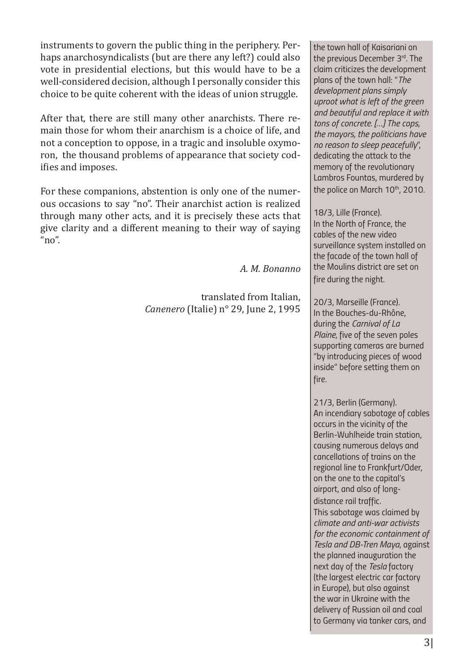instruments to govern the public thing in the periphery. Perhaps anarchosyndicalists (but are there any left?) could also vote in presidential elections, but this would have to be a well-considered decision, although I personally consider this choice to be quite coherent with the ideas of union struggle.

After that, there are still many other anarchists. There remain those for whom their anarchism is a choice of life, and not a conception to oppose, in a tragic and insoluble oxymoron, the thousand problems of appearance that society codifies and imposes.

For these companions, abstention is only one of the numerous occasions to say "no". Their anarchist action is realized through many other acts, and it is precisely these acts that give clarity and a different meaning to their way of saying  $\pi n''$ 

*A. M. Bonanno*

translated from Italian, *Canenero* (Italie) n° 29, June 2, 1995 the town hall of Kaisariani on the previous December 3rd. The claim criticizes the development plans of the town hall: "*The development plans simply uproot what is left of the green and beautiful and replace it with tons of concrete. […] The cops, the mayors, the politicians have no reason to sleep peacefully*", dedicating the attack to the memory of the revolutionary Lambros Fountas, murdered by the police on March 10th, 2010.

18/3, Lille (France). In the North of France, the cables of the new video surveillance system installed on the facade of the town hall of the Moulins district are set on fire during the night.

20/3, Marseille (France). In the Bouches-du-Rhône, during the *Carnival of La Plaine*, five of the seven poles supporting cameras are burned "by introducing pieces of wood inside" before setting them on fire.

21/3, Berlin (Germany). An incendiary sabotage of cables occurs in the vicinity of the Berlin-Wuhlheide train station, causing numerous delays and cancellations of trains on the regional line to Frankfurt/Oder, on the one to the capital's airport, and also of longdistance rail traffic. This sabotage was claimed by *climate and anti-war activists for the economic containment of Tesla and DB-Tren Maya*, against the planned inauguration the next day of the *Tesla* factory (the largest electric car factory in Europe), but also against the war in Ukraine with the delivery of Russian oil and coal to Germany via tanker cars, and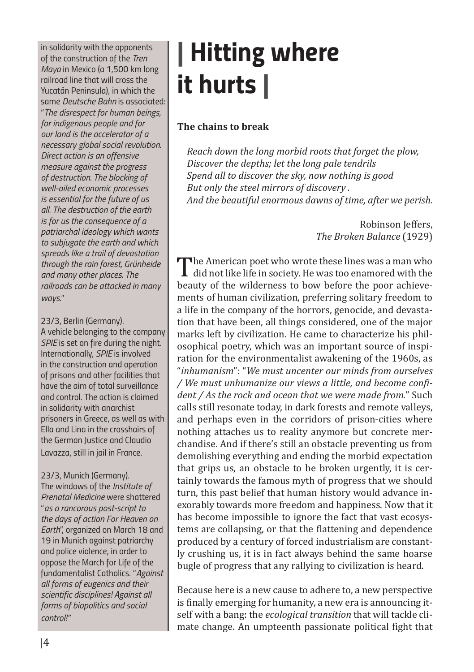in solidarity with the opponents of the construction of the *Tren Maya* in Mexico (a 1,500 km long railroad line that will cross the Yucatán Peninsula), in which the same *Deutsche Bahn* is associated: "*The disrespect for human beings, for indigenous people and for our land is the accelerator of a necessary global social revolution. Direct action is an offensive measure against the progress of destruction. The blocking of well-oiled economic processes is essential for the future of us all. The destruction of the earth is for us the consequence of a patriarchal ideology which wants to subjugate the earth and which spreads like a trail of devastation through the rain forest, Grünheide and many other places. The railroads can be attacked in many ways.*"

#### 23/3, Berlin (Germany).

A vehicle belonging to the company *SPIE* is set on fire during the night. Internationally, *SPIE* is involved in the construction and operation of prisons and other facilities that have the aim of total surveillance and control. The action is claimed in solidarity with anarchist prisoners in Greece, as well as with Ella and Lina in the crosshairs of the German Justice and Claudio Lavazza, still in jail in France.

23/3, Munich (Germany). The windows of the *Institute of Prenatal Medicine* were shattered "*as a rancorous post-script to the days of action For Heaven on Earth*", organized on March 18 and 19 in Munich against patriarchy and police violence, in order to oppose the March for Life of the fundamentalist Catholics. "*Against all forms of eugenics and their scientific disciplines! Against all forms of biopolitics and social control!"*

### **| Hitting where it hurts |**

#### **The chains to break**

*Reach down the long morbid roots that forget the plow, Discover the depths; let the long pale tendrils Spend all to discover the sky, now nothing is good But only the steel mirrors of discovery . And the beautiful enormous dawns of time, after we perish.*

> Robinson Jeffers, *The Broken Balance* (1929)

The American poet who wrote these lines was a man who did not like life in society. He was too enamored with the beauty of the wilderness to bow before the poor achievements of human civilization, preferring solitary freedom to a life in the company of the horrors, genocide, and devastation that have been, all things considered, one of the major marks left by civilization. He came to characterize his philosophical poetry, which was an important source of inspiration for the environmentalist awakening of the 1960s, as "*inhumanism*": "*We must uncenter our minds from ourselves / We must unhumanize our views a little, and become confident / As the rock and ocean that we were made from.*" Such calls still resonate today, in dark forests and remote valleys, and perhaps even in the corridors of prison-cities where nothing attaches us to reality anymore but concrete merchandise. And if there's still an obstacle preventing us from demolishing everything and ending the morbid expectation that grips us, an obstacle to be broken urgently, it is certainly towards the famous myth of progress that we should turn, this past belief that human history would advance inexorably towards more freedom and happiness. Now that it has become impossible to ignore the fact that vast ecosystems are collapsing, or that the flattening and dependence produced by a century of forced industrialism are constantly crushing us, it is in fact always behind the same hoarse bugle of progress that any rallying to civilization is heard.

Because here is a new cause to adhere to, a new perspective is finally emerging for humanity, a new era is announcing itself with a bang: the *ecological transition* that will tackle climate change. An umpteenth passionate political fight that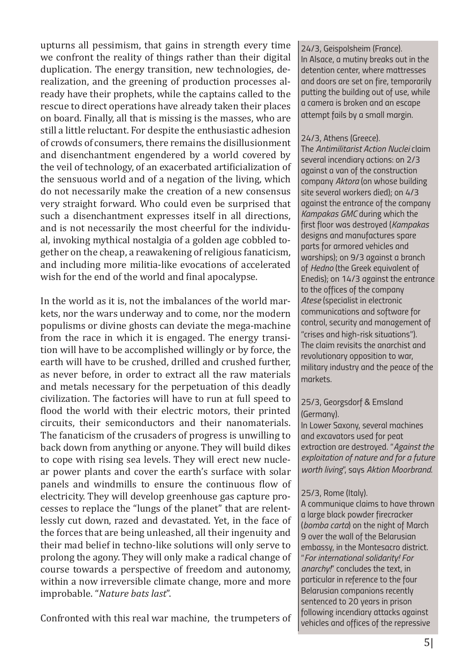upturns all pessimism, that gains in strength every time we confront the reality of things rather than their digital duplication. The energy transition, new technologies, derealization, and the greening of production processes already have their prophets, while the captains called to the rescue to direct operations have already taken their places on board. Finally, all that is missing is the masses, who are still a little reluctant. For despite the enthusiastic adhesion of crowds of consumers, there remains the disillusionment and disenchantment engendered by a world covered by the veil of technology, of an exacerbated artificialization of the sensuous world and of a negation of the living, which do not necessarily make the creation of a new consensus very straight forward. Who could even be surprised that such a disenchantment expresses itself in all directions, and is not necessarily the most cheerful for the individual, invoking mythical nostalgia of a golden age cobbled together on the cheap, a reawakening of religious fanaticism, and including more militia-like evocations of accelerated wish for the end of the world and final apocalypse.

In the world as it is, not the imbalances of the world markets, nor the wars underway and to come, nor the modern populisms or divine ghosts can deviate the mega-machine from the race in which it is engaged. The energy transition will have to be accomplished willingly or by force, the earth will have to be crushed, drilled and crushed further, as never before, in order to extract all the raw materials and metals necessary for the perpetuation of this deadly civilization. The factories will have to run at full speed to flood the world with their electric motors, their printed circuits, their semiconductors and their nanomaterials. The fanaticism of the crusaders of progress is unwilling to back down from anything or anyone. They will build dikes to cope with rising sea levels. They will erect new nuclear power plants and cover the earth's surface with solar panels and windmills to ensure the continuous flow of electricity. They will develop greenhouse gas capture processes to replace the "lungs of the planet" that are relentlessly cut down, razed and devastated. Yet, in the face of the forces that are being unleashed, all their ingenuity and their mad belief in techno-like solutions will only serve to prolong the agony. They will only make a radical change of course towards a perspective of freedom and autonomy, within a now irreversible climate change, more and more improbable. "*Nature bats last*".

Confronted with this real war machine, the trumpeters of

24/3, Geispolsheim (France). In Alsace, a mutiny breaks out in the detention center, where mattresses and doors are set on fire, temporarily putting the building out of use, while a camera is broken and an escape attempt fails by a small margin.

#### 24/3, Athens (Greece).

The *Antimilitarist Action Nuclei* claim several incendiary actions: on 2/3 against a van of the construction company *Aktora* (on whose building site several workers died); on 4/3 against the entrance of the company *Kampakas GMC* during which the first floor was destroyed (*Kampakas* designs and manufactures spare parts for armored vehicles and warships); on 9/3 against a branch of *Hedno* (the Greek equivalent of Enedis); on 14/3 against the entrance to the offices of the company *Atese* (specialist in electronic communications and software for control, security and management of "crises and high-risk situations"). The claim revisits the anarchist and revolutionary opposition to war, military industry and the peace of the markets.

#### 25/3, Georgsdorf & Emsland (Germany).

In Lower Saxony, several machines and excavators used for peat extraction are destroyed. "*Against the exploitation of nature and for a future worth living*", says *Aktion Moorbrand*.

#### 25/3, Rome (Italy).

A communique claims to have thrown a large black powder firecracker (*bomba carta*) on the night of March 9 over the wall of the Belarusian embassy, in the Montesacro district. "*For international solidarity! For anarchy!*" concludes the text, in particular in reference to the four Belarusian companions recently sentenced to 20 years in prison following incendiary attacks against vehicles and offices of the repressive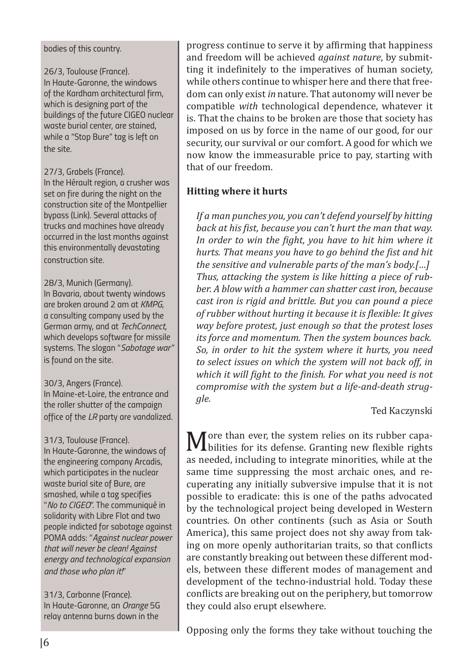bodies of this country.

26/3, Toulouse (France).

In Haute-Garonne, the windows of the Kardham architectural firm, which is designing part of the buildings of the future CIGEO nuclear waste burial center, are stained, while a "Stop Bure" tag is left on the site.

27/3, Grabels (France).

In the Hérault region, a crusher was set on fire during the night on the construction site of the Montpellier bypass (Link). Several attacks of trucks and machines have already occurred in the last months against this environmentally devastating construction site.

28/3, Munich (Germany). In Bavaria, about twenty windows are broken around 2 am at *KMPG*, a consulting company used by the German army, and at *TechConnect*, which develops software for missile systems. The slogan "*Sabotage war"* is found on the site.

30/3, Angers (France). In Maine-et-Loire, the entrance and the roller shutter of the campaign office of the *LR* party are vandalized.

31/3, Toulouse (France). In Haute-Garonne, the windows of the engineering company Arcadis, which participates in the nuclear waste burial site of Bure, are smashed, while a tag specifies "*No to CIGEO*". The communiqué in solidarity with Libre Flot and two people indicted for sabotage against POMA adds: "*Against nuclear power that will never be clean! Against energy and technological expansion and those who plan it!*"

31/3, Carbonne (France). In Haute-Garonne, an *Orange* 5G relay antenna burns down in the

progress continue to serve it by affirming that happiness and freedom will be achieved *against nature*, by submitting it indefinitely to the imperatives of human society, while others continue to whisper here and there that freedom can only exist *in* nature. That autonomy will never be compatible *with* technological dependence, whatever it is. That the chains to be broken are those that society has imposed on us by force in the name of our good, for our security, our survival or our comfort. A good for which we now know the immeasurable price to pay, starting with that of our freedom.

#### **Hitting where it hurts**

*If a man punches you, you can't defend yourself by hitting back at his fist, because you can't hurt the man that way. In order to win the fight, you have to hit him where it hurts. That means you have to go behind the fist and hit the sensitive and vulnerable parts of the man's body.[…] Thus, attacking the system is like hitting a piece of rubber. A blow with a hammer can shatter cast iron, because cast iron is rigid and brittle. But you can pound a piece of rubber without hurting it because it is flexible: It gives way before protest, just enough so that the protest loses its force and momentum. Then the system bounces back. So, in order to hit the system where it hurts, you need to select issues on which the system will not back off, in which it will fight to the finish. For what you need is not compromise with the system but a life-and-death struggle.* 

Ted Kaczynski

**M** ore than ever, the system relies on its rubber capa-<br>hilities for its defense of bilities for its defense. Granting new flexible rights as needed, including to integrate minorities, while at the same time suppressing the most archaic ones, and recuperating any initially subversive impulse that it is not possible to eradicate: this is one of the paths advocated by the technological project being developed in Western countries. On other continents (such as Asia or South America), this same project does not shy away from taking on more openly authoritarian traits, so that conflicts are constantly breaking out between these different models, between these different modes of management and development of the techno-industrial hold. Today these conflicts are breaking out on the periphery, but tomorrow they could also erupt elsewhere.

Opposing only the forms they take without touching the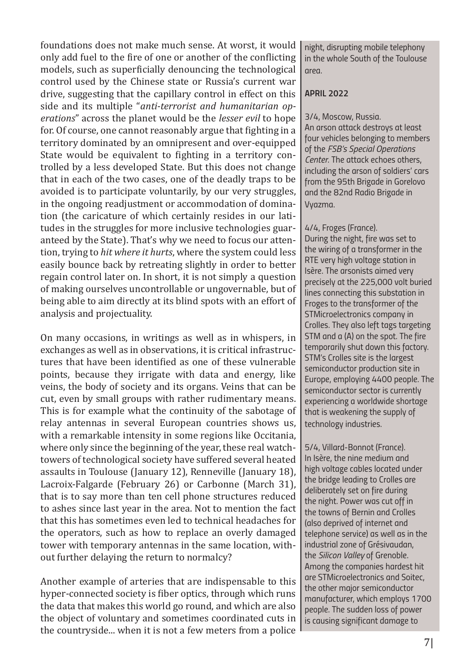foundations does not make much sense. At worst, it would only add fuel to the fire of one or another of the conflicting models, such as superficially denouncing the technological control used by the Chinese state or Russia's current war drive, suggesting that the capillary control in effect on this side and its multiple "*anti-terrorist and humanitarian operations*" across the planet would be the *lesser evil* to hope for. Of course, one cannot reasonably argue that fighting in a territory dominated by an omnipresent and over-equipped State would be equivalent to fighting in a territory controlled by a less developed State. But this does not change that in each of the two cases, one of the deadly traps to be avoided is to participate voluntarily, by our very struggles, in the ongoing readjustment or accommodation of domination (the caricature of which certainly resides in our latitudes in the struggles for more inclusive technologies guaranteed by the State). That's why we need to focus our attention, trying to *hit where it hurts*, where the system could less easily bounce back by retreating slightly in order to better regain control later on. In short, it is not simply a question of making ourselves uncontrollable or ungovernable, but of being able to aim directly at its blind spots with an effort of analysis and projectuality.

On many occasions, in writings as well as in whispers, in exchanges as well as in observations, it is critical infrastructures that have been identified as one of these vulnerable points, because they irrigate with data and energy, like veins, the body of society and its organs. Veins that can be cut, even by small groups with rather rudimentary means. This is for example what the continuity of the sabotage of relay antennas in several European countries shows us, with a remarkable intensity in some regions like Occitania, where only since the beginning of the year, these real watchtowers of technological society have suffered several heated assaults in Toulouse (January 12), Renneville (January 18), Lacroix-Falgarde (February 26) or Carbonne (March 31), that is to say more than ten cell phone structures reduced to ashes since last year in the area. Not to mention the fact that this has sometimes even led to technical headaches for the operators, such as how to replace an overly damaged tower with temporary antennas in the same location, without further delaying the return to normalcy?

Another example of arteries that are indispensable to this hyper-connected society is fiber optics, through which runs the data that makes this world go round, and which are also the object of voluntary and sometimes coordinated cuts in the countryside... when it is not a few meters from a police

night, disrupting mobile telephony in the whole South of the Toulouse area.

#### **APRIL 2022**

3/4, Moscow, Russia.

An arson attack destroys at least four vehicles belonging to members of the *FSB's Special Operations Center*. The attack echoes others, including the arson of soldiers' cars from the 95th Brigade in Gorelovo and the 82nd Radio Brigade in Vyazma.

4/4, Froges (France).

During the night, fire was set to the wiring of a transformer in the RTE very high voltage station in Isère. The arsonists aimed very precisely at the 225,000 volt buried lines connecting this substation in Froges to the transformer of the STMicroelectronics company in Crolles. They also left tags targeting STM and a (A) on the spot. The fire temporarily shut down this factory. STM's Crolles site is the largest semiconductor production site in Europe, employing 4400 people. The semiconductor sector is currently experiencing a worldwide shortage that is weakening the supply of technology industries.

5/4, Villard-Bonnot (France). In Isère, the nine medium and high voltage cables located under the bridge leading to Crolles are deliberately set on fire during the night. Power was cut off in the towns of Bernin and Crolles (also deprived of internet and telephone service) as well as in the industrial zone of Grésivaudan, the *Silicon Valley* of Grenoble. Among the companies hardest hit are STMicroelectronics and Soitec, the other major semiconductor manufacturer, which employs 1700 people. The sudden loss of power is causing significant damage to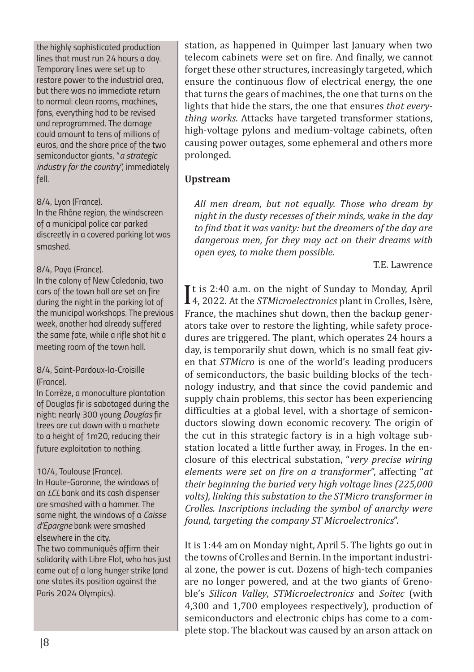the highly sophisticated production lines that must run 24 hours a day. Temporary lines were set up to restore power to the industrial area, but there was no immediate return to normal: clean rooms, machines, fans, everything had to be revised and reprogrammed. The damage could amount to tens of millions of euros, and the share price of the two semiconductor giants, "*a strategic industry for the country*", immediately fell.

8/4, Lyon (France).

In the Rhône region, the windscreen of a municipal police car parked discreetly in a covered parking lot was smashed.

8/4, Poya (France).

In the colony of New Caledonia, two cars of the town hall are set on fire during the night in the parking lot of the municipal workshops. The previous week, another had already suffered the same fate, while a rifle shot hit a meeting room of the town hall.

8/4, Saint-Pardoux-la-Croisille (France).

In Corrèze, a monoculture plantation of Douglas fir is sabotaged during the night: nearly 300 young *Douglas* fir trees are cut down with a machete to a height of 1m20, reducing their future exploitation to nothing.

10/4, Toulouse (France). In Haute-Garonne, the windows of an *LCL* bank and its cash dispenser are smashed with a hammer. The same night, the windows of a *Caisse d'Epargne* bank were smashed elsewhere in the city. The two communiqués affirm their solidarity with Libre Flot, who has just

come out of a long hunger strike (and one states its position against the Paris 2024 Olympics).

station, as happened in Quimper last January when two telecom cabinets were set on fire. And finally, we cannot forget these other structures, increasingly targeted, which ensure the continuous flow of electrical energy, the one that turns the gears of machines, the one that turns on the lights that hide the stars, the one that ensures *that everything works*. Attacks have targeted transformer stations, high-voltage pylons and medium-voltage cabinets, often causing power outages, some ephemeral and others more prolonged.

#### **Upstream**

*All men dream, but not equally. Those who dream by night in the dusty recesses of their minds, wake in the day to find that it was vanity: but the dreamers of the day are dangerous men, for they may act on their dreams with open eyes, to make them possible.*

#### T.E. Lawrence

I 4, 2022. At the *STMicroelectronics* plant in Crolles, Isère, It is 2:40 a.m. on the night of Sunday to Monday, April France, the machines shut down, then the backup generators take over to restore the lighting, while safety procedures are triggered. The plant, which operates 24 hours a day, is temporarily shut down, which is no small feat given that *STMicro* is one of the world's leading producers of semiconductors, the basic building blocks of the technology industry, and that since the covid pandemic and supply chain problems, this sector has been experiencing difficulties at a global level, with a shortage of semiconductors slowing down economic recovery. The origin of the cut in this strategic factory is in a high voltage substation located a little further away, in Froges. In the enclosure of this electrical substation, "*very precise wiring elements were set on fire on a transformer*", affecting "*at their beginning the buried very high voltage lines (225,000 volts), linking this substation to the STMicro transformer in Crolles. Inscriptions including the symbol of anarchy were found, targeting the company ST Microelectronics*".

It is 1:44 am on Monday night, April 5. The lights go out in the towns of Crolles and Bernin. In the important industrial zone, the power is cut. Dozens of high-tech companies are no longer powered, and at the two giants of Grenoble's *Silicon Valley*, *STMicroelectronics* and *Soitec* (with 4,300 and 1,700 employees respectively), production of semiconductors and electronic chips has come to a complete stop. The blackout was caused by an arson attack on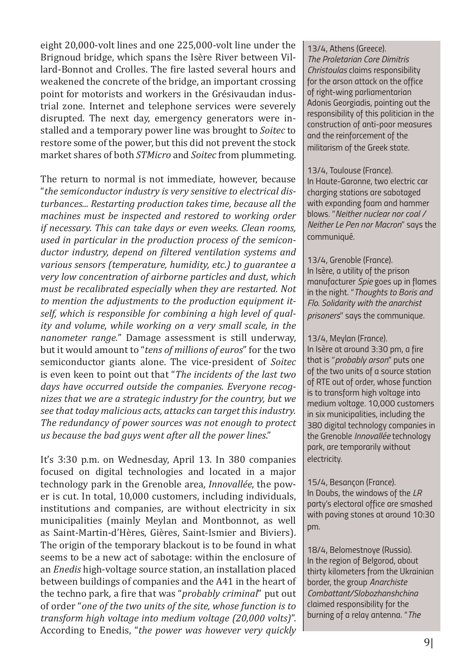eight 20,000-volt lines and one 225,000-volt line under the Brignoud bridge, which spans the Isère River between Villard-Bonnot and Crolles. The fire lasted several hours and weakened the concrete of the bridge, an important crossing point for motorists and workers in the Grésivaudan industrial zone. Internet and telephone services were severely disrupted. The next day, emergency generators were installed and a temporary power line was brought to *Soitec* to restore some of the power, but this did not prevent the stock market shares of both *STMicro* and *Soitec* from plummeting.

The return to normal is not immediate, however, because "*the semiconductor industry is very sensitive to electrical disturbances... Restarting production takes time, because all the machines must be inspected and restored to working order if necessary. This can take days or even weeks. Clean rooms, used in particular in the production process of the semiconductor industry, depend on filtered ventilation systems and various sensors (temperature, humidity, etc.) to guarantee a very low concentration of airborne particles and dust, which must be recalibrated especially when they are restarted. Not to mention the adjustments to the production equipment itself, which is responsible for combining a high level of quality and volume, while working on a very small scale, in the nanometer range.*" Damage assessment is still underway, but it would amount to "*tens of millions of euros*" for the two semiconductor giants alone. The vice-president of *Soitec* is even keen to point out that "*The incidents of the last two days have occurred outside the companies. Everyone recognizes that we are a strategic industry for the country, but we see that today malicious acts, attacks can target this industry. The redundancy of power sources was not enough to protect us because the bad guys went after all the power lines*."

It's 3:30 p.m. on Wednesday, April 13. In 380 companies focused on digital technologies and located in a major technology park in the Grenoble area, *Innovallée*, the power is cut. In total, 10,000 customers, including individuals, institutions and companies, are without electricity in six municipalities (mainly Meylan and Montbonnot, as well as Saint-Martin-d'Hères, Gières, Saint-Ismier and Biviers). The origin of the temporary blackout is to be found in what seems to be a new act of sabotage: within the enclosure of an *Enedis* high-voltage source station, an installation placed between buildings of companies and the A41 in the heart of the techno park, a fire that was "*probably criminal*" put out of order "*one of the two units of the site, whose function is to transform high voltage into medium voltage (20,000 volts)*". According to Enedis, "*the power was however very quickly* 

13/4, Athens (Greece). *The Proletarian Core Dimitris Christoulas* claims responsibility for the arson attack on the office of right-wing parliamentarian Adonis Georgiadis, pointing out the responsibility of this politician in the construction of anti-poor measures and the reinforcement of the militarism of the Greek state.

13/4, Toulouse (France). In Haute-Garonne, two electric car charging stations are sabotaged with expanding foam and hammer blows. "*Neither nuclear nor coal / Neither Le Pen nor Macron*" says the communiqué.

13/4, Grenoble (France). In Isère, a utility of the prison manufacturer *Spie* goes up in flames in the night. "*Thoughts to Boris and Flo. Solidarity with the anarchist prisoners*" says the communique.

13/4, Meylan (France).

In Isère at around 3:30 pm, a fire that is "*probably arson*" puts one of the two units of a source station of RTE out of order, whose function is to transform high voltage into medium voltage. 10,000 customers in six municipalities, including the 380 digital technology companies in the Grenoble *Innovallée* technology park, are temporarily without electricity.

15/4, Besançon (France). In Doubs, the windows of the *LR* party's electoral office are smashed with paving stones at around 10:30 pm.

18/4, Belomestnoye (Russia). In the region of Belgorod, about thirty kilometers from the Ukrainian border, the group *Anarchiste Combattant/Slobozhanshchina* claimed responsibility for the burning of a relay antenna. "*The*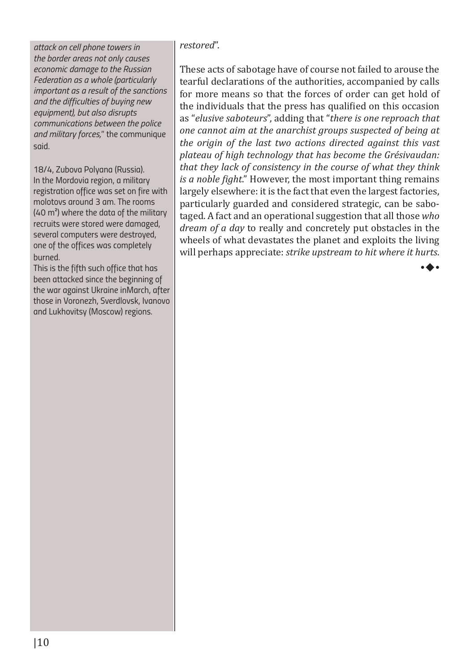*attack on cell phone towers in the border areas not only causes economic damage to the Russian Federation as a whole (particularly important as a result of the sanctions and the difficulties of buying new equipment), but also disrupts communications between the police and military forces,*" the communique said.

18/4, Zubova Polyana (Russia). In the Mordovia region, a military registration office was set on fire with molotovs around 3 am. The rooms (40 m²) where the data of the military recruits were stored were damaged, several computers were destroyed, one of the offices was completely burned.

This is the fifth such office that has been attacked since the beginning of the war against Ukraine inMarch, after those in Voronezh, Sverdlovsk, Ivanovo and Lukhovitsy (Moscow) regions.

#### *restored*".

These acts of sabotage have of course not failed to arouse the tearful declarations of the authorities, accompanied by calls for more means so that the forces of order can get hold of the individuals that the press has qualified on this occasion as "*elusive saboteurs*", adding that "*there is one reproach that one cannot aim at the anarchist groups suspected of being at the origin of the last two actions directed against this vast plateau of high technology that has become the Grésivaudan: that they lack of consistency in the course of what they think is a noble fight*." However, the most important thing remains largely elsewhere: it is the fact that even the largest factories, particularly guarded and considered strategic, can be sabotaged. A fact and an operational suggestion that all those *who dream of a day* to really and concretely put obstacles in the wheels of what devastates the planet and exploits the living will perhaps appreciate: *strike upstream to hit where it hurts*.

 $\cdot \bullet \cdot$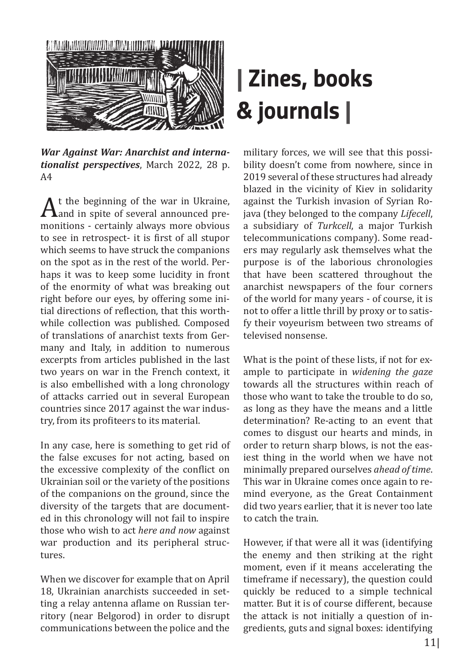

*War Against War: Anarchist and internationalist perspectives*, March 2022, 28 p. A4

 $A$ t the beginning of the war in Ukraine,  $A$ and in spite of several announced premonitions - certainly always more obvious to see in retrospect- it is first of all stupor which seems to have struck the companions on the spot as in the rest of the world. Perhaps it was to keep some lucidity in front of the enormity of what was breaking out right before our eyes, by offering some initial directions of reflection, that this worthwhile collection was published. Composed of translations of anarchist texts from Germany and Italy, in addition to numerous excerpts from articles published in the last two years on war in the French context, it is also embellished with a long chronology of attacks carried out in several European countries since 2017 against the war industry, from its profiteers to its material.

In any case, here is something to get rid of the false excuses for not acting, based on the excessive complexity of the conflict on Ukrainian soil or the variety of the positions of the companions on the ground, since the diversity of the targets that are documented in this chronology will not fail to inspire those who wish to act *here and now* against war production and its peripheral structures.

When we discover for example that on April 18, Ukrainian anarchists succeeded in setting a relay antenna aflame on Russian territory (near Belgorod) in order to disrupt communications between the police and the

## **| Zines, books & journals |**

military forces, we will see that this possibility doesn't come from nowhere, since in 2019 several of these structures had already blazed in the vicinity of Kiev in solidarity against the Turkish invasion of Syrian Rojava (they belonged to the company *Lifecell*, a subsidiary of *Turkcell*, a major Turkish telecommunications company). Some readers may regularly ask themselves what the purpose is of the laborious chronologies that have been scattered throughout the anarchist newspapers of the four corners of the world for many years - of course, it is not to offer a little thrill by proxy or to satisfy their voyeurism between two streams of televised nonsense.

What is the point of these lists, if not for example to participate in *widening the gaze*  towards all the structures within reach of those who want to take the trouble to do so, as long as they have the means and a little determination? Re-acting to an event that comes to disgust our hearts and minds, in order to return sharp blows, is not the easiest thing in the world when we have not minimally prepared ourselves *ahead of time*. This war in Ukraine comes once again to remind everyone, as the Great Containment did two years earlier, that it is never too late to catch the train.

However, if that were all it was (identifying the enemy and then striking at the right moment, even if it means accelerating the timeframe if necessary), the question could quickly be reduced to a simple technical matter. But it is of course different, because the attack is not initially a question of ingredients, guts and signal boxes: identifying